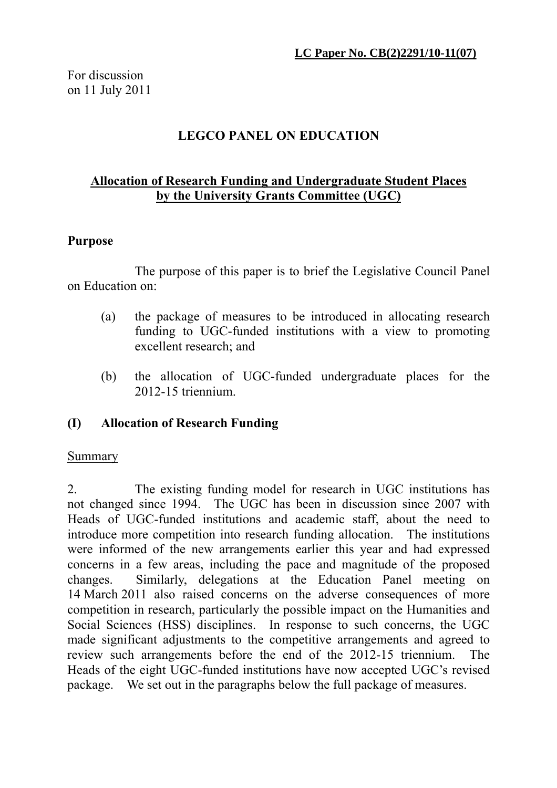# **LEGCO PANEL ON EDUCATION**

## **Allocation of Research Funding and Undergraduate Student Places by the University Grants Committee (UGC)**

#### **Purpose**

 The purpose of this paper is to brief the Legislative Council Panel on Education on:

- (a) the package of measures to be introduced in allocating research funding to UGC-funded institutions with a view to promoting excellent research; and
- (b) the allocation of UGC-funded undergraduate places for the 2012-15 triennium.

#### **(I) Allocation of Research Funding**

#### Summary

2. The existing funding model for research in UGC institutions has not changed since 1994. The UGC has been in discussion since 2007 with Heads of UGC-funded institutions and academic staff, about the need to introduce more competition into research funding allocation. The institutions were informed of the new arrangements earlier this year and had expressed concerns in a few areas, including the pace and magnitude of the proposed changes. Similarly, delegations at the Education Panel meeting on 14 March 2011 also raised concerns on the adverse consequences of more competition in research, particularly the possible impact on the Humanities and Social Sciences (HSS) disciplines. In response to such concerns, the UGC made significant adjustments to the competitive arrangements and agreed to review such arrangements before the end of the 2012-15 triennium. The Heads of the eight UGC-funded institutions have now accepted UGC's revised package. We set out in the paragraphs below the full package of measures.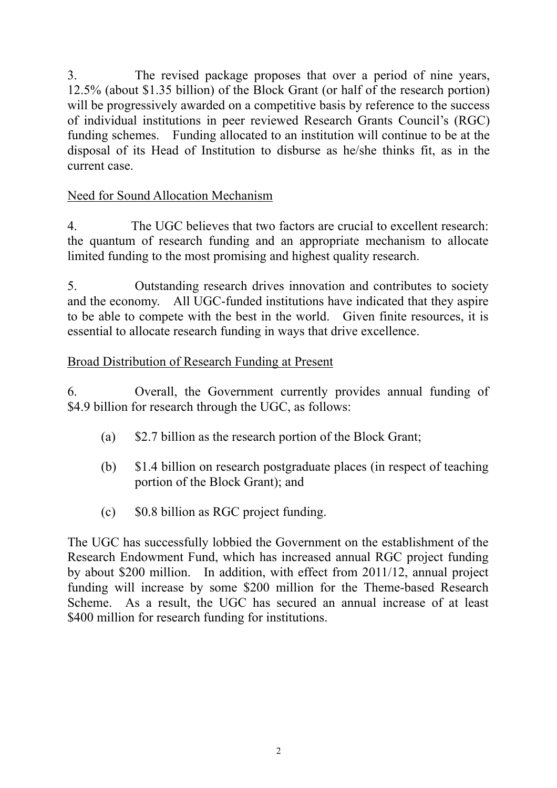3. The revised package proposes that over a period of nine years, 12.5% (about \$1.35 billion) of the Block Grant (or half of the research portion) will be progressively awarded on a competitive basis by reference to the success of individual institutions in peer reviewed Research Grants Council's (RGC) funding schemes. Funding allocated to an institution will continue to be at the disposal of its Head of Institution to disburse as he/she thinks fit, as in the current case.

# Need for Sound Allocation Mechanism

4. The UGC believes that two factors are crucial to excellent research: the quantum of research funding and an appropriate mechanism to allocate limited funding to the most promising and highest quality research.

5. Outstanding research drives innovation and contributes to society and the economy. All UGC-funded institutions have indicated that they aspire to be able to compete with the best in the world. Given finite resources, it is essential to allocate research funding in ways that drive excellence.

# Broad Distribution of Research Funding at Present

6. Overall, the Government currently provides annual funding of \$4.9 billion for research through the UGC, as follows:

- (a) \$2.7 billion as the research portion of the Block Grant;
- (b) \$1.4 billion on research postgraduate places (in respect of teaching portion of the Block Grant); and
- (c) \$0.8 billion as RGC project funding.

The UGC has successfully lobbied the Government on the establishment of the Research Endowment Fund, which has increased annual RGC project funding by about \$200 million. In addition, with effect from 2011/12, annual project funding will increase by some \$200 million for the Theme-based Research Scheme. As a result, the UGC has secured an annual increase of at least \$400 million for research funding for institutions.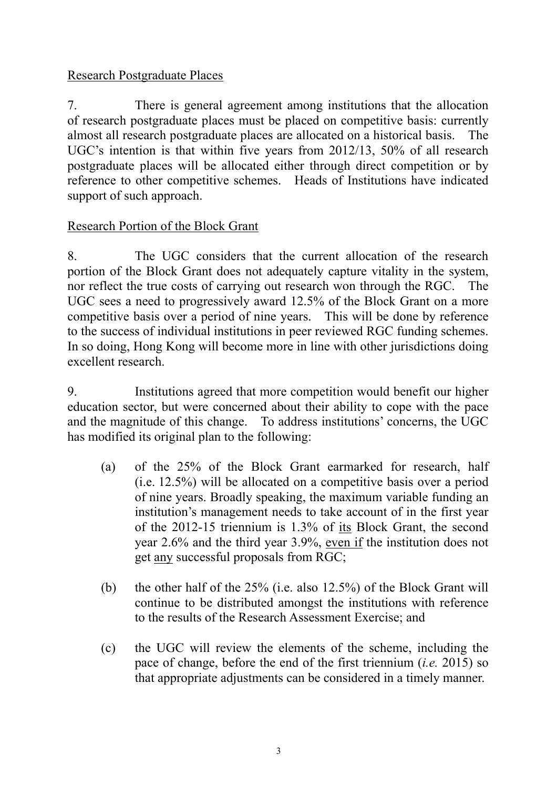# Research Postgraduate Places

7. There is general agreement among institutions that the allocation of research postgraduate places must be placed on competitive basis: currently almost all research postgraduate places are allocated on a historical basis. The UGC's intention is that within five years from 2012/13, 50% of all research postgraduate places will be allocated either through direct competition or by reference to other competitive schemes. Heads of Institutions have indicated support of such approach.

# Research Portion of the Block Grant

8. The UGC considers that the current allocation of the research portion of the Block Grant does not adequately capture vitality in the system, nor reflect the true costs of carrying out research won through the RGC. The UGC sees a need to progressively award 12.5% of the Block Grant on a more competitive basis over a period of nine years. This will be done by reference to the success of individual institutions in peer reviewed RGC funding schemes. In so doing, Hong Kong will become more in line with other jurisdictions doing excellent research.

9. Institutions agreed that more competition would benefit our higher education sector, but were concerned about their ability to cope with the pace and the magnitude of this change. To address institutions' concerns, the UGC has modified its original plan to the following:

- (a) of the 25% of the Block Grant earmarked for research, half (i.e. 12.5%) will be allocated on a competitive basis over a period of nine years. Broadly speaking, the maximum variable funding an institution's management needs to take account of in the first year of the 2012-15 triennium is 1.3% of its Block Grant, the second year 2.6% and the third year 3.9%, even if the institution does not get any successful proposals from RGC;
- (b) the other half of the 25% (i.e. also 12.5%) of the Block Grant will continue to be distributed amongst the institutions with reference to the results of the Research Assessment Exercise; and
- (c) the UGC will review the elements of the scheme, including the pace of change, before the end of the first triennium (*i.e.* 2015) so that appropriate adjustments can be considered in a timely manner.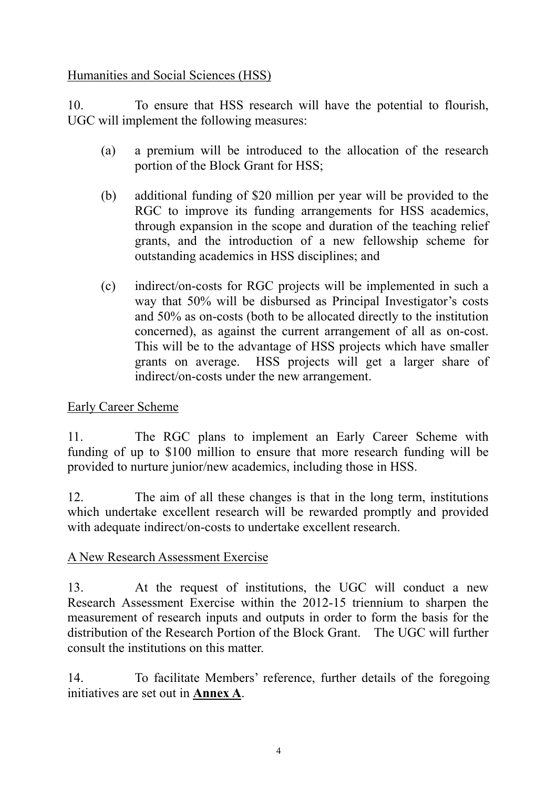Humanities and Social Sciences (HSS)

10. To ensure that HSS research will have the potential to flourish, UGC will implement the following measures:

- (a) a premium will be introduced to the allocation of the research portion of the Block Grant for HSS;
- (b) additional funding of \$20 million per year will be provided to the RGC to improve its funding arrangements for HSS academics, through expansion in the scope and duration of the teaching relief grants, and the introduction of a new fellowship scheme for outstanding academics in HSS disciplines; and
- (c) indirect/on-costs for RGC projects will be implemented in such a way that 50% will be disbursed as Principal Investigator's costs and 50% as on-costs (both to be allocated directly to the institution concerned), as against the current arrangement of all as on-cost. This will be to the advantage of HSS projects which have smaller grants on average. HSS projects will get a larger share of indirect/on-costs under the new arrangement.

# Early Career Scheme

11. The RGC plans to implement an Early Career Scheme with funding of up to \$100 million to ensure that more research funding will be provided to nurture junior/new academics, including those in HSS.

12. The aim of all these changes is that in the long term, institutions which undertake excellent research will be rewarded promptly and provided with adequate indirect/on-costs to undertake excellent research.

# A New Research Assessment Exercise

13. At the request of institutions, the UGC will conduct a new Research Assessment Exercise within the 2012-15 triennium to sharpen the measurement of research inputs and outputs in order to form the basis for the distribution of the Research Portion of the Block Grant. The UGC will further consult the institutions on this matter.

14. To facilitate Members' reference, further details of the foregoing initiatives are set out in **Annex A**.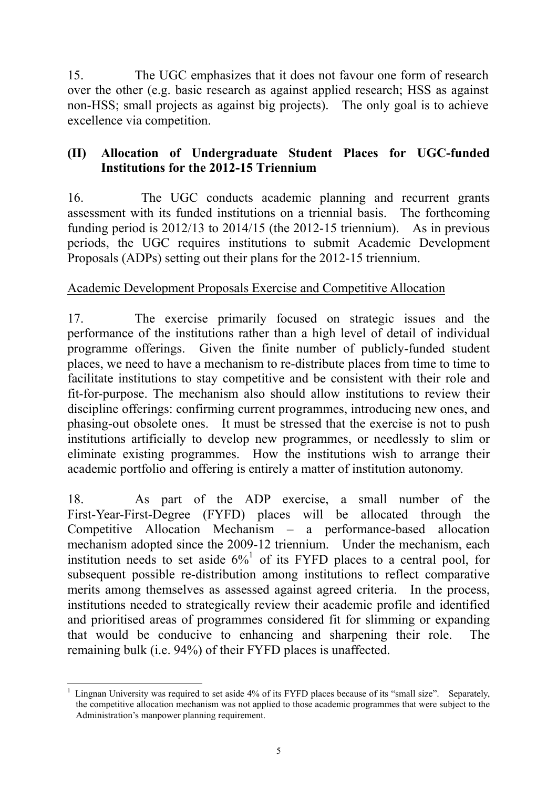15. The UGC emphasizes that it does not favour one form of research over the other (e.g. basic research as against applied research; HSS as against non-HSS; small projects as against big projects). The only goal is to achieve excellence via competition.

# **(II) Allocation of Undergraduate Student Places for UGC-funded Institutions for the 2012-15 Triennium**

16. The UGC conducts academic planning and recurrent grants assessment with its funded institutions on a triennial basis. The forthcoming funding period is 2012/13 to 2014/15 (the 2012-15 triennium). As in previous periods, the UGC requires institutions to submit Academic Development Proposals (ADPs) setting out their plans for the 2012-15 triennium.

## Academic Development Proposals Exercise and Competitive Allocation

17. The exercise primarily focused on strategic issues and the performance of the institutions rather than a high level of detail of individual programme offerings. Given the finite number of publicly-funded student places, we need to have a mechanism to re-distribute places from time to time to facilitate institutions to stay competitive and be consistent with their role and fit-for-purpose. The mechanism also should allow institutions to review their discipline offerings: confirming current programmes, introducing new ones, and phasing-out obsolete ones. It must be stressed that the exercise is not to push institutions artificially to develop new programmes, or needlessly to slim or eliminate existing programmes. How the institutions wish to arrange their academic portfolio and offering is entirely a matter of institution autonomy.

18. As part of the ADP exercise, a small number of the First-Year-First-Degree (FYFD) places will be allocated through the Competitive Allocation Mechanism – a performance-based allocation mechanism adopted since the 2009-12 triennium. Under the mechanism, each institution needs to set aside  $6\%$ <sup>1</sup> of its FYFD places to a central pool, for subsequent possible re-distribution among institutions to reflect comparative merits among themselves as assessed against agreed criteria. In the process, institutions needed to strategically review their academic profile and identified and prioritised areas of programmes considered fit for slimming or expanding that would be conducive to enhancing and sharpening their role. The remaining bulk (i.e. 94%) of their FYFD places is unaffected.

 $\overline{a}$ 1 Lingnan University was required to set aside 4% of its FYFD places because of its "small size". Separately, the competitive allocation mechanism was not applied to those academic programmes that were subject to the Administration's manpower planning requirement.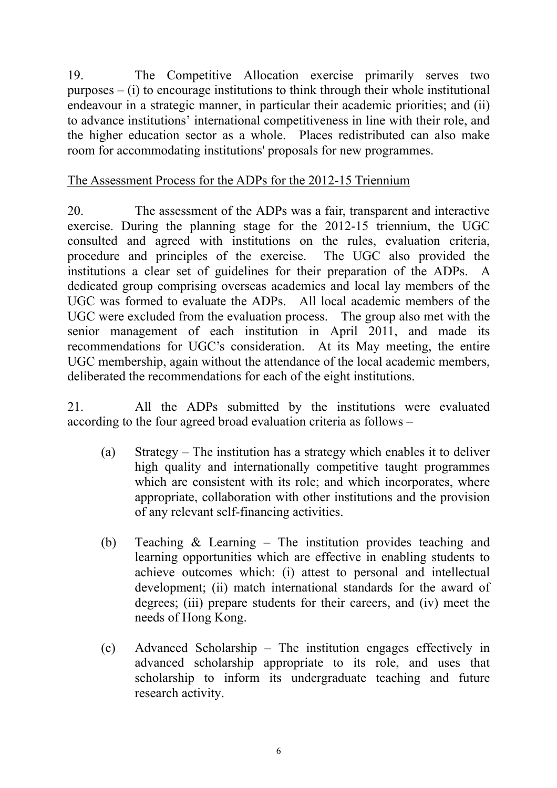19. The Competitive Allocation exercise primarily serves two purposes – (i) to encourage institutions to think through their whole institutional endeavour in a strategic manner, in particular their academic priorities; and (ii) to advance institutions' international competitiveness in line with their role, and the higher education sector as a whole. Places redistributed can also make room for accommodating institutions' proposals for new programmes.

# The Assessment Process for the ADPs for the 2012-15 Triennium

20. The assessment of the ADPs was a fair, transparent and interactive exercise. During the planning stage for the 2012-15 triennium, the UGC consulted and agreed with institutions on the rules, evaluation criteria, procedure and principles of the exercise. The UGC also provided the institutions a clear set of guidelines for their preparation of the ADPs. A dedicated group comprising overseas academics and local lay members of the UGC was formed to evaluate the ADPs. All local academic members of the UGC were excluded from the evaluation process. The group also met with the senior management of each institution in April 2011, and made its recommendations for UGC's consideration. At its May meeting, the entire UGC membership, again without the attendance of the local academic members, deliberated the recommendations for each of the eight institutions.

21. All the ADPs submitted by the institutions were evaluated according to the four agreed broad evaluation criteria as follows –

- (a)Strategy The institution has a strategy which enables it to deliver high quality and internationally competitive taught programmes which are consistent with its role; and which incorporates, where appropriate, collaboration with other institutions and the provision of any relevant self-financing activities.
- (b)Teaching & Learning The institution provides teaching and learning opportunities which are effective in enabling students to achieve outcomes which: (i) attest to personal and intellectual development; (ii) match international standards for the award of degrees; (iii) prepare students for their careers, and (iv) meet the needs of Hong Kong.
- (c)Advanced Scholarship The institution engages effectively in advanced scholarship appropriate to its role, and uses that scholarship to inform its undergraduate teaching and future research activity.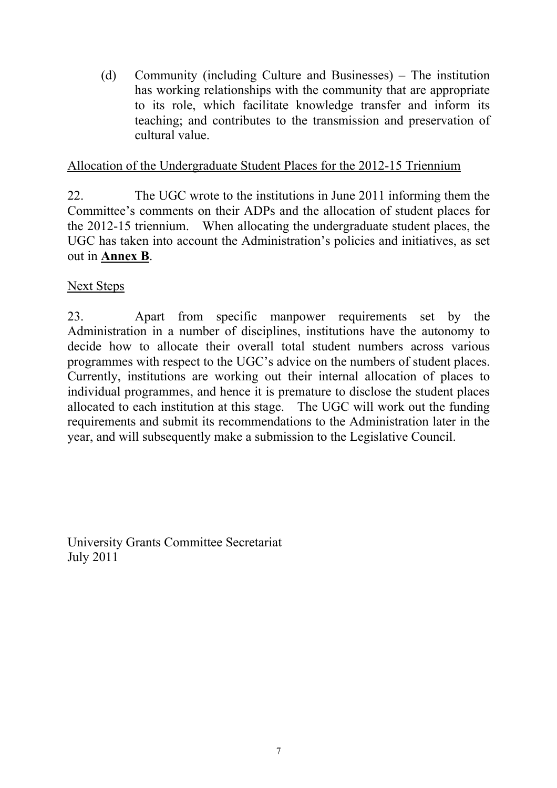(d)Community (including Culture and Businesses) – The institution has working relationships with the community that are appropriate to its role, which facilitate knowledge transfer and inform its teaching; and contributes to the transmission and preservation of cultural value.

### Allocation of the Undergraduate Student Places for the 2012-15 Triennium

22. The UGC wrote to the institutions in June 2011 informing them the Committee's comments on their ADPs and the allocation of student places for the 2012-15 triennium. When allocating the undergraduate student places, the UGC has taken into account the Administration's policies and initiatives, as set out in **Annex B**.

## Next Steps

23. Apart from specific manpower requirements set by the Administration in a number of disciplines, institutions have the autonomy to decide how to allocate their overall total student numbers across various programmes with respect to the UGC's advice on the numbers of student places. Currently, institutions are working out their internal allocation of places to individual programmes, and hence it is premature to disclose the student places allocated to each institution at this stage. The UGC will work out the funding requirements and submit its recommendations to the Administration later in the year, and will subsequently make a submission to the Legislative Council.

University Grants Committee Secretariat July 2011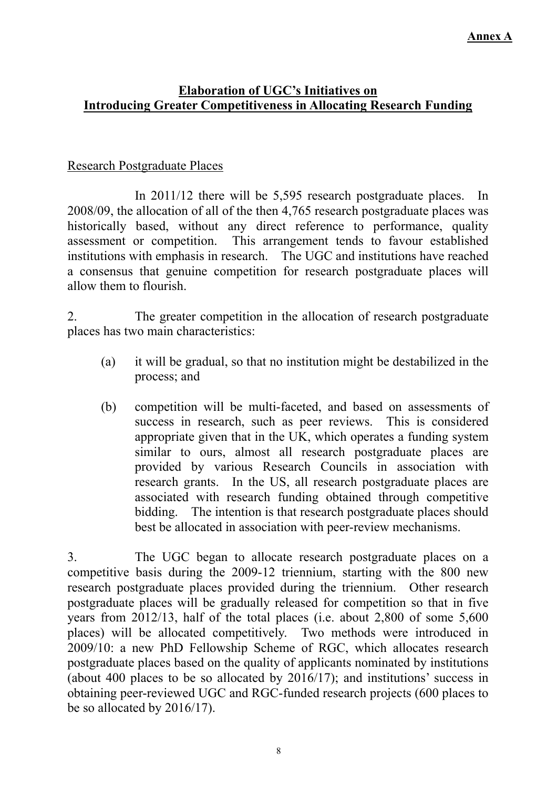#### **Annex A**

#### **Elaboration of UGC's Initiatives on Introducing Greater Competitiveness in Allocating Research Funding**

#### Research Postgraduate Places

 In 2011/12 there will be 5,595 research postgraduate places. In 2008/09, the allocation of all of the then 4,765 research postgraduate places was historically based, without any direct reference to performance, quality assessment or competition. This arrangement tends to favour established institutions with emphasis in research. The UGC and institutions have reached a consensus that genuine competition for research postgraduate places will allow them to flourish.

2. The greater competition in the allocation of research postgraduate places has two main characteristics:

- (a) it will be gradual, so that no institution might be destabilized in the process; and
- (b) competition will be multi-faceted, and based on assessments of success in research, such as peer reviews. This is considered appropriate given that in the UK, which operates a funding system similar to ours, almost all research postgraduate places are provided by various Research Councils in association with research grants. In the US, all research postgraduate places are associated with research funding obtained through competitive bidding. The intention is that research postgraduate places should best be allocated in association with peer-review mechanisms.

3. The UGC began to allocate research postgraduate places on a competitive basis during the 2009-12 triennium, starting with the 800 new research postgraduate places provided during the triennium. Other research postgraduate places will be gradually released for competition so that in five years from 2012/13, half of the total places (i.e. about 2,800 of some 5,600 places) will be allocated competitively. Two methods were introduced in 2009/10: a new PhD Fellowship Scheme of RGC, which allocates research postgraduate places based on the quality of applicants nominated by institutions (about 400 places to be so allocated by 2016/17); and institutions' success in obtaining peer-reviewed UGC and RGC-funded research projects (600 places to be so allocated by 2016/17).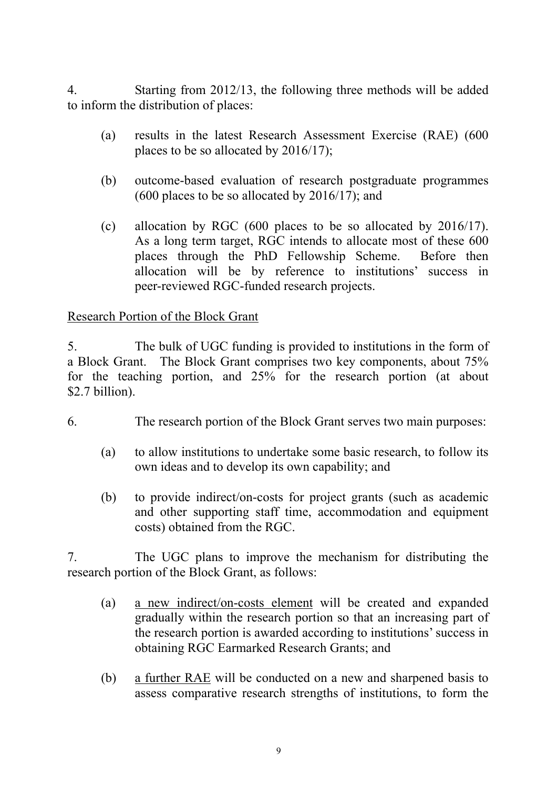4. Starting from 2012/13, the following three methods will be added to inform the distribution of places:

- (a) results in the latest Research Assessment Exercise (RAE) (600 places to be so allocated by 2016/17);
- (b) outcome-based evaluation of research postgraduate programmes (600 places to be so allocated by 2016/17); and
- (c) allocation by RGC (600 places to be so allocated by 2016/17). As a long term target, RGC intends to allocate most of these 600 places through the PhD Fellowship Scheme. Before then allocation will be by reference to institutions' success in peer-reviewed RGC-funded research projects.

## Research Portion of the Block Grant

5. The bulk of UGC funding is provided to institutions in the form of a Block Grant. The Block Grant comprises two key components, about 75% for the teaching portion, and 25% for the research portion (at about \$2.7 billion).

- 6. The research portion of the Block Grant serves two main purposes:
	- (a) to allow institutions to undertake some basic research, to follow its own ideas and to develop its own capability; and
	- (b) to provide indirect/on-costs for project grants (such as academic and other supporting staff time, accommodation and equipment costs) obtained from the RGC.

7. The UGC plans to improve the mechanism for distributing the research portion of the Block Grant, as follows:

- (a) a new indirect/on-costs element will be created and expanded gradually within the research portion so that an increasing part of the research portion is awarded according to institutions' success in obtaining RGC Earmarked Research Grants; and
- (b) a further RAE will be conducted on a new and sharpened basis to assess comparative research strengths of institutions, to form the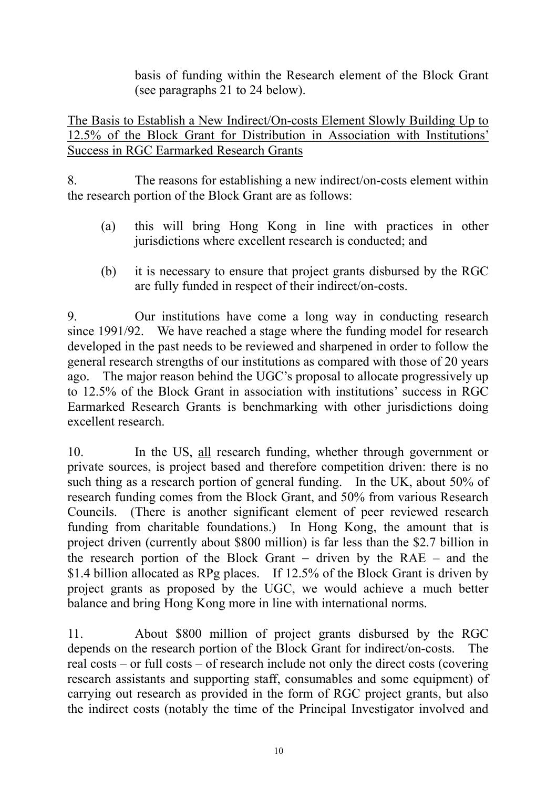basis of funding within the Research element of the Block Grant (see paragraphs 21 to 24 below).

The Basis to Establish a New Indirect/On-costs Element Slowly Building Up to 12.5% of the Block Grant for Distribution in Association with Institutions' Success in RGC Earmarked Research Grants

8. The reasons for establishing a new indirect/on-costs element within the research portion of the Block Grant are as follows:

- (a) this will bring Hong Kong in line with practices in other jurisdictions where excellent research is conducted; and
- (b) it is necessary to ensure that project grants disbursed by the RGC are fully funded in respect of their indirect/on-costs.

9. Our institutions have come a long way in conducting research since 1991/92. We have reached a stage where the funding model for research developed in the past needs to be reviewed and sharpened in order to follow the general research strengths of our institutions as compared with those of 20 years ago. The major reason behind the UGC's proposal to allocate progressively up to 12.5% of the Block Grant in association with institutions' success in RGC Earmarked Research Grants is benchmarking with other jurisdictions doing excellent research.

10. In the US, all research funding, whether through government or private sources, is project based and therefore competition driven: there is no such thing as a research portion of general funding. In the UK, about 50% of research funding comes from the Block Grant, and 50% from various Research Councils. (There is another significant element of peer reviewed research funding from charitable foundations.) In Hong Kong, the amount that is project driven (currently about \$800 million) is far less than the \$2.7 billion in the research portion of the Block Grant − driven by the RAE – and the \$1.4 billion allocated as RPg places. If 12.5% of the Block Grant is driven by project grants as proposed by the UGC, we would achieve a much better balance and bring Hong Kong more in line with international norms.

11. About \$800 million of project grants disbursed by the RGC depends on the research portion of the Block Grant for indirect/on-costs. The real costs – or full costs – of research include not only the direct costs (covering research assistants and supporting staff, consumables and some equipment) of carrying out research as provided in the form of RGC project grants, but also the indirect costs (notably the time of the Principal Investigator involved and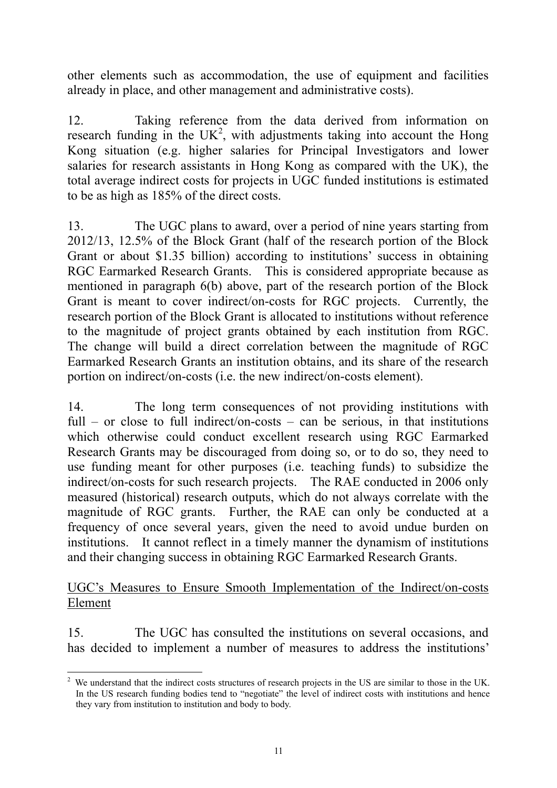other elements such as accommodation, the use of equipment and facilities already in place, and other management and administrative costs).

12. Taking reference from the data derived from information on research funding in the UK<sup>2</sup>, with adjustments taking into account the Hong Kong situation (e.g. higher salaries for Principal Investigators and lower salaries for research assistants in Hong Kong as compared with the UK), the total average indirect costs for projects in UGC funded institutions is estimated to be as high as 185% of the direct costs.

13. The UGC plans to award, over a period of nine years starting from 2012/13, 12.5% of the Block Grant (half of the research portion of the Block Grant or about \$1.35 billion) according to institutions' success in obtaining RGC Earmarked Research Grants. This is considered appropriate because as mentioned in paragraph 6(b) above, part of the research portion of the Block Grant is meant to cover indirect/on-costs for RGC projects. Currently, the research portion of the Block Grant is allocated to institutions without reference to the magnitude of project grants obtained by each institution from RGC. The change will build a direct correlation between the magnitude of RGC Earmarked Research Grants an institution obtains, and its share of the research portion on indirect/on-costs (i.e. the new indirect/on-costs element).

14. The long term consequences of not providing institutions with full – or close to full indirect/on-costs – can be serious, in that institutions which otherwise could conduct excellent research using RGC Earmarked Research Grants may be discouraged from doing so, or to do so, they need to use funding meant for other purposes (i.e. teaching funds) to subsidize the indirect/on-costs for such research projects. The RAE conducted in 2006 only measured (historical) research outputs, which do not always correlate with the magnitude of RGC grants. Further, the RAE can only be conducted at a frequency of once several years, given the need to avoid undue burden on institutions. It cannot reflect in a timely manner the dynamism of institutions and their changing success in obtaining RGC Earmarked Research Grants.

#### UGC's Measures to Ensure Smooth Implementation of the Indirect/on-costs Element

15. The UGC has consulted the institutions on several occasions, and has decided to implement a number of measures to address the institutions'

 $\overline{a}$  $2$  We understand that the indirect costs structures of research projects in the US are similar to those in the UK. In the US research funding bodies tend to "negotiate" the level of indirect costs with institutions and hence they vary from institution to institution and body to body.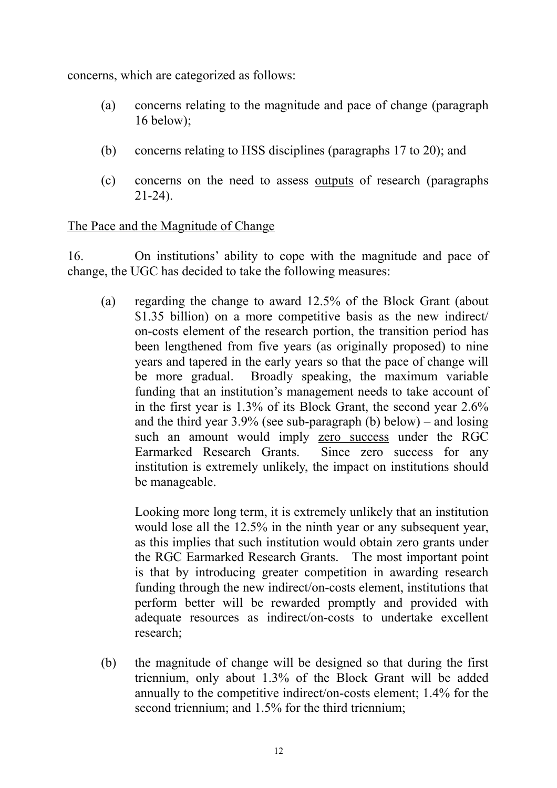concerns, which are categorized as follows:

- (a) concerns relating to the magnitude and pace of change (paragraph 16 below);
- (b) concerns relating to HSS disciplines (paragraphs 17 to 20); and
- (c) concerns on the need to assess outputs of research (paragraphs 21-24).

## The Pace and the Magnitude of Change

16. On institutions' ability to cope with the magnitude and pace of change, the UGC has decided to take the following measures:

 (a) regarding the change to award 12.5% of the Block Grant (about \$1.35 billion) on a more competitive basis as the new indirect/ on-costs element of the research portion, the transition period has been lengthened from five years (as originally proposed) to nine years and tapered in the early years so that the pace of change will be more gradual. Broadly speaking, the maximum variable funding that an institution's management needs to take account of in the first year is 1.3% of its Block Grant, the second year 2.6% and the third year  $3.9\%$  (see sub-paragraph (b) below) – and losing such an amount would imply zero success under the RGC Earmarked Research Grants. Since zero success for any institution is extremely unlikely, the impact on institutions should be manageable.

 Looking more long term, it is extremely unlikely that an institution would lose all the 12.5% in the ninth year or any subsequent year. as this implies that such institution would obtain zero grants under the RGC Earmarked Research Grants. The most important point is that by introducing greater competition in awarding research funding through the new indirect/on-costs element, institutions that perform better will be rewarded promptly and provided with adequate resources as indirect/on-costs to undertake excellent research;

(b) the magnitude of change will be designed so that during the first triennium, only about 1.3% of the Block Grant will be added annually to the competitive indirect/on-costs element; 1.4% for the second triennium; and 1.5% for the third triennium;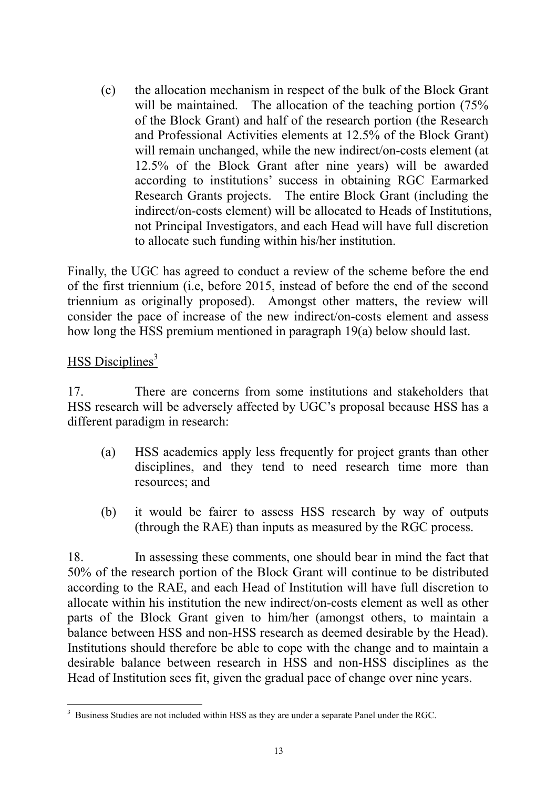(c) the allocation mechanism in respect of the bulk of the Block Grant will be maintained. The allocation of the teaching portion (75%) of the Block Grant) and half of the research portion (the Research and Professional Activities elements at 12.5% of the Block Grant) will remain unchanged, while the new indirect/on-costs element (at 12.5% of the Block Grant after nine years) will be awarded according to institutions' success in obtaining RGC Earmarked Research Grants projects. The entire Block Grant (including the indirect/on-costs element) will be allocated to Heads of Institutions, not Principal Investigators, and each Head will have full discretion to allocate such funding within his/her institution.

Finally, the UGC has agreed to conduct a review of the scheme before the end of the first triennium (i.e, before 2015, instead of before the end of the second triennium as originally proposed). Amongst other matters, the review will consider the pace of increase of the new indirect/on-costs element and assess how long the HSS premium mentioned in paragraph 19(a) below should last.

## $HSS$  Disciplines<sup>3</sup>

17. There are concerns from some institutions and stakeholders that HSS research will be adversely affected by UGC's proposal because HSS has a different paradigm in research:

- (a) HSS academics apply less frequently for project grants than other disciplines, and they tend to need research time more than resources; and
- (b) it would be fairer to assess HSS research by way of outputs (through the RAE) than inputs as measured by the RGC process.

18. In assessing these comments, one should bear in mind the fact that 50% of the research portion of the Block Grant will continue to be distributed according to the RAE, and each Head of Institution will have full discretion to allocate within his institution the new indirect/on-costs element as well as other parts of the Block Grant given to him/her (amongst others, to maintain a balance between HSS and non-HSS research as deemed desirable by the Head). Institutions should therefore be able to cope with the change and to maintain a desirable balance between research in HSS and non-HSS disciplines as the Head of Institution sees fit, given the gradual pace of change over nine years.

<sup>&</sup>lt;sup>3</sup> Business Studies are not included within HSS as they are under a separate Panel under the RGC.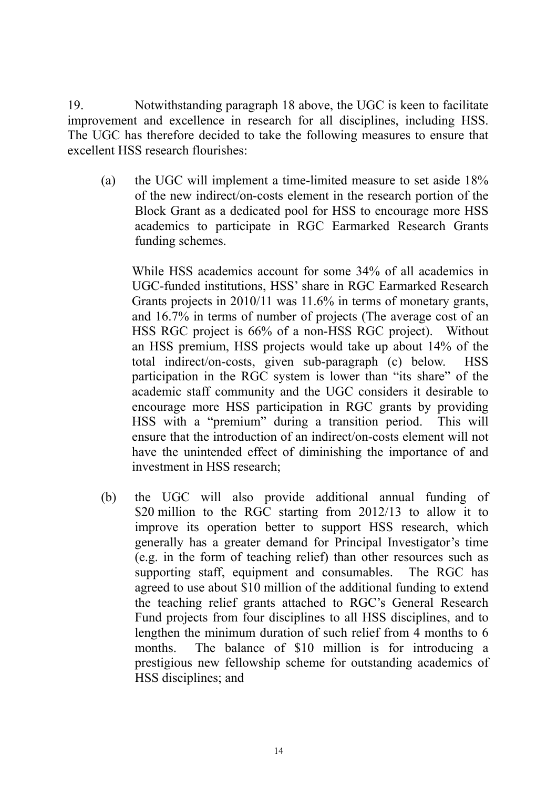19. Notwithstanding paragraph 18 above, the UGC is keen to facilitate improvement and excellence in research for all disciplines, including HSS. The UGC has therefore decided to take the following measures to ensure that excellent HSS research flourishes:

(a) the UGC will implement a time-limited measure to set aside 18% of the new indirect/on-costs element in the research portion of the Block Grant as a dedicated pool for HSS to encourage more HSS academics to participate in RGC Earmarked Research Grants funding schemes.

While HSS academics account for some 34% of all academics in UGC-funded institutions, HSS' share in RGC Earmarked Research Grants projects in 2010/11 was 11.6% in terms of monetary grants, and 16.7% in terms of number of projects (The average cost of an HSS RGC project is 66% of a non-HSS RGC project). Without an HSS premium, HSS projects would take up about 14% of the total indirect/on-costs, given sub-paragraph (c) below. HSS participation in the RGC system is lower than "its share" of the academic staff community and the UGC considers it desirable to encourage more HSS participation in RGC grants by providing HSS with a "premium" during a transition period. This will ensure that the introduction of an indirect/on-costs element will not have the unintended effect of diminishing the importance of and investment in HSS research;

(b) the UGC will also provide additional annual funding of \$20 million to the RGC starting from 2012/13 to allow it to improve its operation better to support HSS research, which generally has a greater demand for Principal Investigator's time (e.g. in the form of teaching relief) than other resources such as supporting staff, equipment and consumables. The RGC has agreed to use about \$10 million of the additional funding to extend the teaching relief grants attached to RGC's General Research Fund projects from four disciplines to all HSS disciplines, and to lengthen the minimum duration of such relief from 4 months to 6 months. The balance of \$10 million is for introducing a prestigious new fellowship scheme for outstanding academics of HSS disciplines; and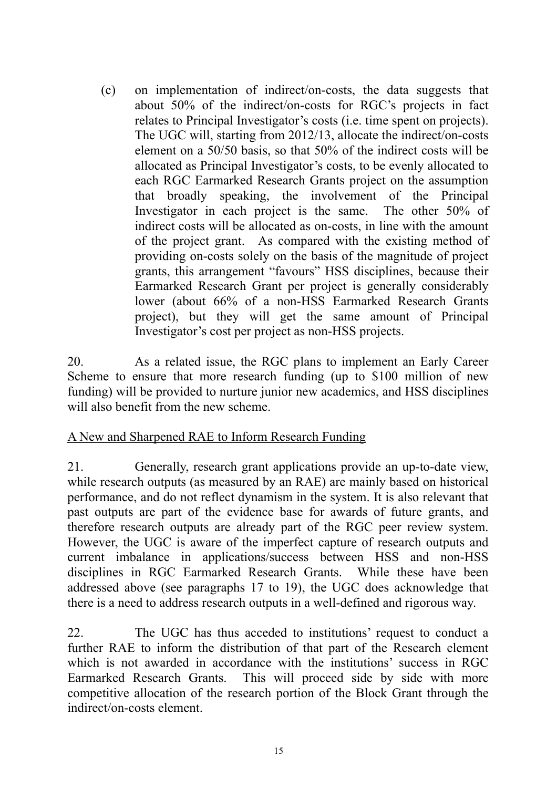(c) on implementation of indirect/on-costs, the data suggests that about 50% of the indirect/on-costs for RGC's projects in fact relates to Principal Investigator's costs (i.e. time spent on projects). The UGC will, starting from 2012/13, allocate the indirect/on-costs element on a 50/50 basis, so that 50% of the indirect costs will be allocated as Principal Investigator's costs, to be evenly allocated to each RGC Earmarked Research Grants project on the assumption that broadly speaking, the involvement of the Principal Investigator in each project is the same. The other 50% of indirect costs will be allocated as on-costs, in line with the amount of the project grant. As compared with the existing method of providing on-costs solely on the basis of the magnitude of project grants, this arrangement "favours" HSS disciplines, because their Earmarked Research Grant per project is generally considerably lower (about 66% of a non-HSS Earmarked Research Grants project), but they will get the same amount of Principal Investigator's cost per project as non-HSS projects.

20. As a related issue, the RGC plans to implement an Early Career Scheme to ensure that more research funding (up to \$100 million of new funding) will be provided to nurture junior new academics, and HSS disciplines will also benefit from the new scheme.

#### A New and Sharpened RAE to Inform Research Funding

21. Generally, research grant applications provide an up-to-date view, while research outputs (as measured by an RAE) are mainly based on historical performance, and do not reflect dynamism in the system. It is also relevant that past outputs are part of the evidence base for awards of future grants, and therefore research outputs are already part of the RGC peer review system. However, the UGC is aware of the imperfect capture of research outputs and current imbalance in applications/success between HSS and non-HSS disciplines in RGC Earmarked Research Grants. While these have been addressed above (see paragraphs 17 to 19), the UGC does acknowledge that there is a need to address research outputs in a well-defined and rigorous way.

22. The UGC has thus acceded to institutions' request to conduct a further RAE to inform the distribution of that part of the Research element which is not awarded in accordance with the institutions' success in RGC Earmarked Research Grants. This will proceed side by side with more competitive allocation of the research portion of the Block Grant through the indirect/on-costs element.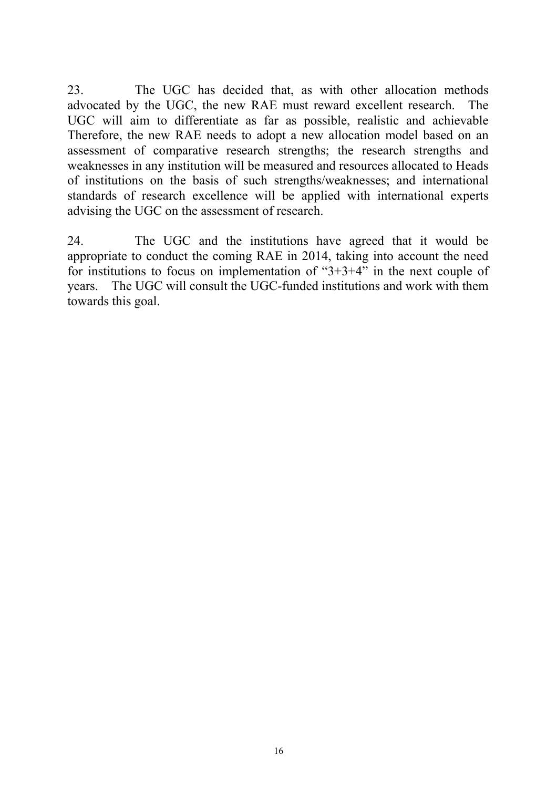23. The UGC has decided that, as with other allocation methods advocated by the UGC, the new RAE must reward excellent research. The UGC will aim to differentiate as far as possible, realistic and achievable Therefore, the new RAE needs to adopt a new allocation model based on an assessment of comparative research strengths; the research strengths and weaknesses in any institution will be measured and resources allocated to Heads of institutions on the basis of such strengths/weaknesses; and international standards of research excellence will be applied with international experts advising the UGC on the assessment of research.

24. The UGC and the institutions have agreed that it would be appropriate to conduct the coming RAE in 2014, taking into account the need for institutions to focus on implementation of "3+3+4" in the next couple of years. The UGC will consult the UGC-funded institutions and work with them towards this goal.